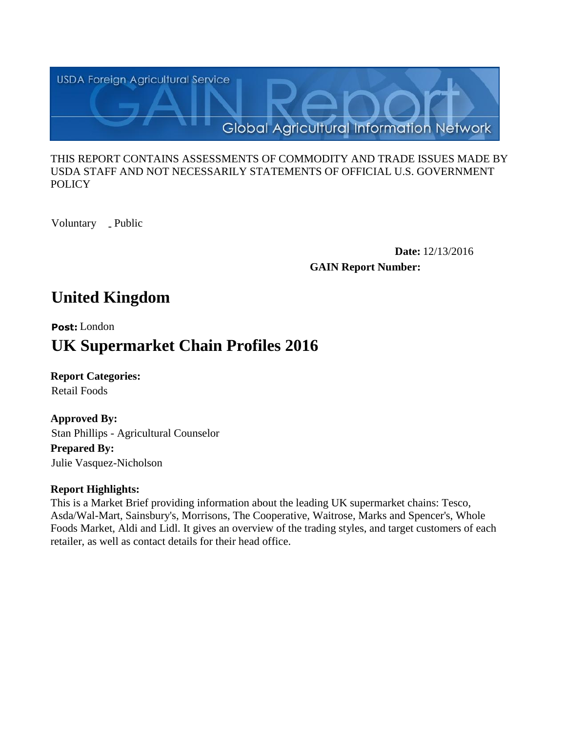

#### THIS REPORT CONTAINS ASSESSMENTS OF COMMODITY AND TRADE ISSUES MADE BY USDA STAFF AND NOT NECESSARILY STATEMENTS OF OFFICIAL U.S. GOVERNMENT **POLICY**

Voluntary \_ Public

**Date:** 12/13/2016 **GAIN Report Number:**

# **United Kingdom**

# **Post:** London **UK Supermarket Chain Profiles 2016**

**Report Categories:** Retail Foods

**Approved By: Prepared By:**  Stan Phillips - Agricultural Counselor

Julie Vasquez-Nicholson

# **Report Highlights:**

This is a Market Brief providing information about the leading UK supermarket chains: Tesco, Asda/Wal-Mart, Sainsbury's, Morrisons, The Cooperative, Waitrose, Marks and Spencer's, Whole Foods Market, Aldi and Lidl. It gives an overview of the trading styles, and target customers of each retailer, as well as contact details for their head office.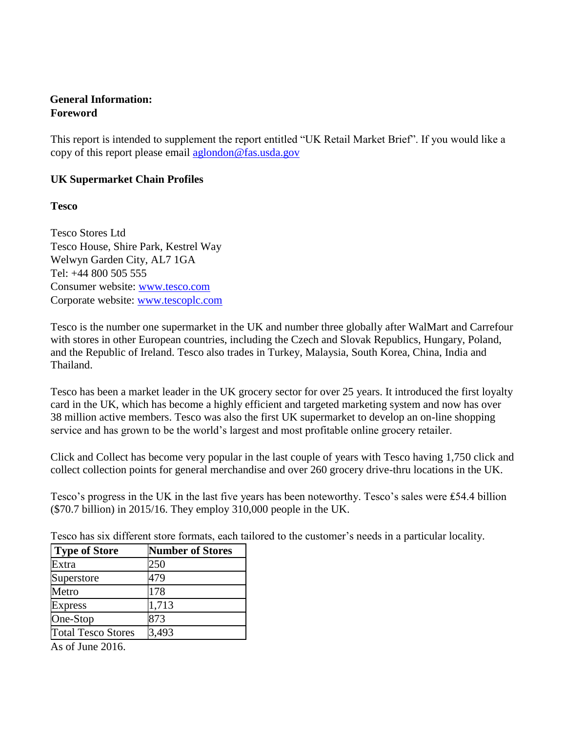### **General Information: Foreword**

This report is intended to supplement the report entitled "UK Retail Market Brief". If you would like a copy of this report please email [aglondon@fas.usda.gov](mailto:aglondon@fas.usda.gov)

# **UK Supermarket Chain Profiles**

**Tesco**

Tesco Stores Ltd Tesco House, Shire Park, Kestrel Way Welwyn Garden City, AL7 1GA Tel: +44 800 505 555 Consumer website: [www.tesco.com](http://www.tesco.com/) Corporate website: [www.tescoplc.com](http://www.tescoplc.com/)

Tesco is the number one supermarket in the UK and number three globally after WalMart and Carrefour with stores in other European countries, including the Czech and Slovak Republics, Hungary, Poland, and the Republic of Ireland. Tesco also trades in Turkey, Malaysia, South Korea, China, India and Thailand.

Tesco has been a market leader in the UK grocery sector for over 25 years. It introduced the first loyalty card in the UK, which has become a highly efficient and targeted marketing system and now has over 38 million active members. Tesco was also the first UK supermarket to develop an on-line shopping service and has grown to be the world's largest and most profitable online grocery retailer.

Click and Collect has become very popular in the last couple of years with Tesco having 1,750 click and collect collection points for general merchandise and over 260 grocery drive-thru locations in the UK.

Tesco's progress in the UK in the last five years has been noteworthy. Tesco's sales were ₤54.4 billion (\$70.7 billion) in 2015/16. They employ 310,000 people in the UK.

Tesco has six different store formats, each tailored to the customer's needs in a particular locality.

| <b>Type of Store</b>      | <b>Number of Stores</b> |
|---------------------------|-------------------------|
| Extra                     | 250                     |
| Superstore                | 479                     |
| Metro                     | 178                     |
| <b>Express</b>            | 1,713                   |
| One-Stop                  | 873                     |
| <b>Total Tesco Stores</b> | 3,493                   |

As of June 2016.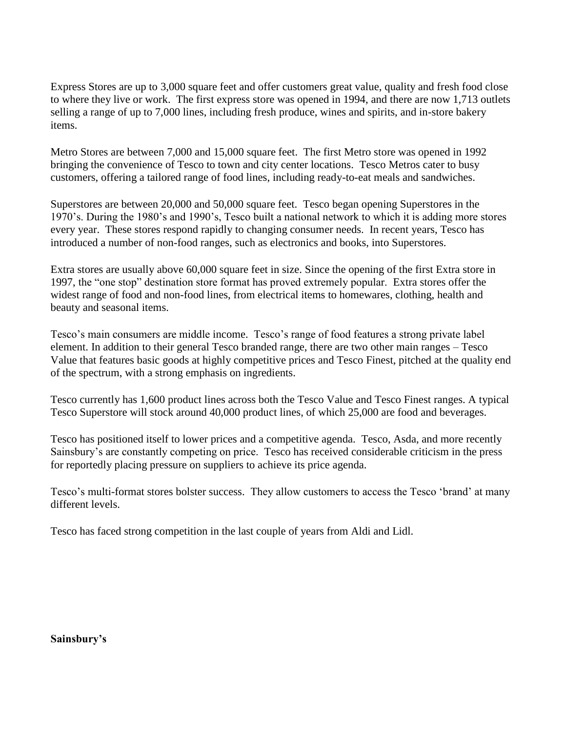Express Stores are up to 3,000 square feet and offer customers great value, quality and fresh food close to where they live or work. The first express store was opened in 1994, and there are now 1,713 outlets selling a range of up to 7,000 lines, including fresh produce, wines and spirits, and in-store bakery items.

Metro Stores are between 7,000 and 15,000 square feet. The first Metro store was opened in 1992 bringing the convenience of Tesco to town and city center locations. Tesco Metros cater to busy customers, offering a tailored range of food lines, including ready-to-eat meals and sandwiches.

Superstores are between 20,000 and 50,000 square feet. Tesco began opening Superstores in the 1970's. During the 1980's and 1990's, Tesco built a national network to which it is adding more stores every year. These stores respond rapidly to changing consumer needs. In recent years, Tesco has introduced a number of non-food ranges, such as electronics and books, into Superstores.

Extra stores are usually above 60,000 square feet in size. Since the opening of the first Extra store in 1997, the "one stop" destination store format has proved extremely popular. Extra stores offer the widest range of food and non-food lines, from electrical items to homewares, clothing, health and beauty and seasonal items.

Tesco's main consumers are middle income. Tesco's range of food features a strong private label element. In addition to their general Tesco branded range, there are two other main ranges – Tesco Value that features basic goods at highly competitive prices and Tesco Finest, pitched at the quality end of the spectrum, with a strong emphasis on ingredients.

Tesco currently has 1,600 product lines across both the Tesco Value and Tesco Finest ranges. A typical Tesco Superstore will stock around 40,000 product lines, of which 25,000 are food and beverages.

Tesco has positioned itself to lower prices and a competitive agenda. Tesco, Asda, and more recently Sainsbury's are constantly competing on price. Tesco has received considerable criticism in the press for reportedly placing pressure on suppliers to achieve its price agenda.

Tesco's multi-format stores bolster success. They allow customers to access the Tesco 'brand' at many different levels.

Tesco has faced strong competition in the last couple of years from Aldi and Lidl.

#### **Sainsbury's**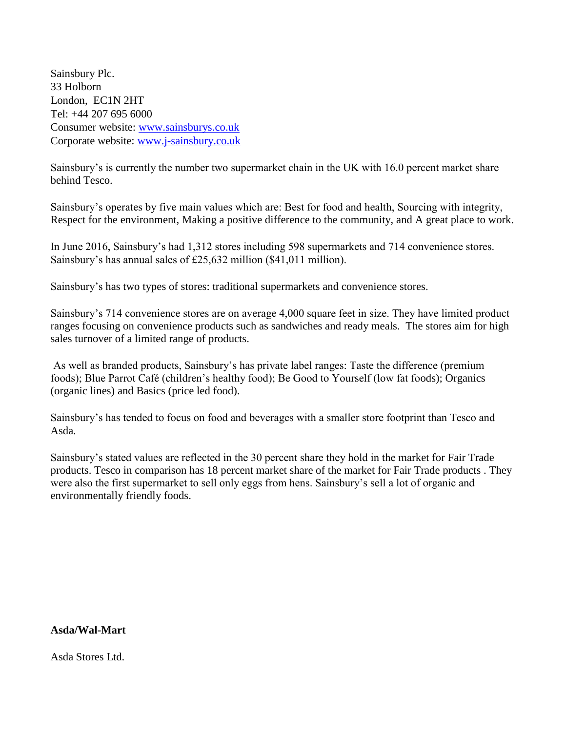Sainsbury Plc. 33 Holborn London, EC1N 2HT Tel: +44 207 695 6000 Consumer website: [www.sainsburys.co.uk](http://www.sainsburys.co.uk/) Corporate website: [www.j-sainsbury.co.uk](http://www.j-sainsbury.co.uk/)

Sainsbury's is currently the number two supermarket chain in the UK with 16.0 percent market share behind Tesco.

Sainsbury's operates by five main values which are: Best for food and health, Sourcing with integrity, Respect for the environment, Making a positive difference to the community, and A great place to work.

In June 2016, Sainsbury's had 1,312 stores including 598 supermarkets and 714 convenience stores. Sainsbury's has annual sales of £25,632 million (\$41,011 million).

Sainsbury's has two types of stores: traditional supermarkets and convenience stores.

Sainsbury's 714 convenience stores are on average 4,000 square feet in size. They have limited product ranges focusing on convenience products such as sandwiches and ready meals. The stores aim for high sales turnover of a limited range of products.

As well as branded products, Sainsbury's has private label ranges: Taste the difference (premium foods); Blue Parrot Café (children's healthy food); Be Good to Yourself (low fat foods); Organics (organic lines) and Basics (price led food).

Sainsbury's has tended to focus on food and beverages with a smaller store footprint than Tesco and Asda.

Sainsbury's stated values are reflected in the 30 percent share they hold in the market for Fair Trade products. Tesco in comparison has 18 percent market share of the market for Fair Trade products . They were also the first supermarket to sell only eggs from hens. Sainsbury's sell a lot of organic and environmentally friendly foods.

#### **Asda/Wal-Mart**

Asda Stores Ltd.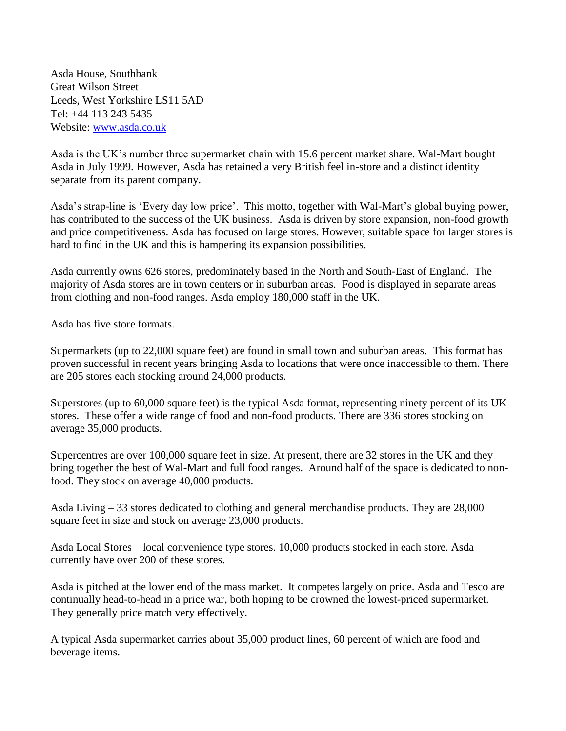Asda House, Southbank Great Wilson Street Leeds, West Yorkshire LS11 5AD Tel: +44 113 243 5435 Website: [www.asda.co.uk](http://www.asda.co.uk/)

Asda is the UK's number three supermarket chain with 15.6 percent market share. Wal-Mart bought Asda in July 1999. However, Asda has retained a very British feel in-store and a distinct identity separate from its parent company.

Asda's strap-line is 'Every day low price'. This motto, together with Wal-Mart's global buying power, has contributed to the success of the UK business. Asda is driven by store expansion, non-food growth and price competitiveness. Asda has focused on large stores. However, suitable space for larger stores is hard to find in the UK and this is hampering its expansion possibilities.

Asda currently owns 626 stores, predominately based in the North and South-East of England. The majority of Asda stores are in town centers or in suburban areas. Food is displayed in separate areas from clothing and non-food ranges. Asda employ 180,000 staff in the UK.

Asda has five store formats.

Supermarkets (up to 22,000 square feet) are found in small town and suburban areas. This format has proven successful in recent years bringing Asda to locations that were once inaccessible to them. There are 205 stores each stocking around 24,000 products.

Superstores (up to 60,000 square feet) is the typical Asda format, representing ninety percent of its UK stores. These offer a wide range of food and non-food products. There are 336 stores stocking on average 35,000 products.

Supercentres are over 100,000 square feet in size. At present, there are 32 stores in the UK and they bring together the best of Wal-Mart and full food ranges. Around half of the space is dedicated to nonfood. They stock on average 40,000 products.

Asda Living – 33 stores dedicated to clothing and general merchandise products. They are 28,000 square feet in size and stock on average 23,000 products.

Asda Local Stores – local convenience type stores. 10,000 products stocked in each store. Asda currently have over 200 of these stores.

Asda is pitched at the lower end of the mass market. It competes largely on price. Asda and Tesco are continually head-to-head in a price war, both hoping to be crowned the lowest-priced supermarket. They generally price match very effectively.

A typical Asda supermarket carries about 35,000 product lines, 60 percent of which are food and beverage items.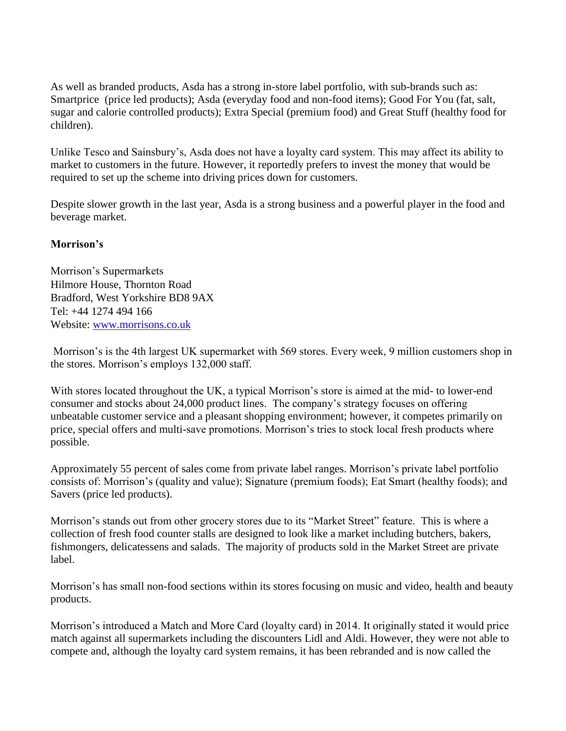As well as branded products, Asda has a strong in-store label portfolio, with sub-brands such as: Smartprice (price led products); Asda (everyday food and non-food items); Good For You (fat, salt, sugar and calorie controlled products); Extra Special (premium food) and Great Stuff (healthy food for children).

Unlike Tesco and Sainsbury's, Asda does not have a loyalty card system. This may affect its ability to market to customers in the future. However, it reportedly prefers to invest the money that would be required to set up the scheme into driving prices down for customers.

Despite slower growth in the last year, Asda is a strong business and a powerful player in the food and beverage market.

# **Morrison's**

Morrison's Supermarkets Hilmore House, Thornton Road Bradford, West Yorkshire BD8 9AX Tel: +44 1274 494 166 Website: [www.morrisons.co.uk](http://www.morrisons.co.uk/)

Morrison's is the 4th largest UK supermarket with 569 stores. Every week, 9 million customers shop in the stores. Morrison's employs 132,000 staff.

With stores located throughout the UK, a typical Morrison's store is aimed at the mid- to lower-end consumer and stocks about 24,000 product lines. The company's strategy focuses on offering unbeatable customer service and a pleasant shopping environment; however, it competes primarily on price, special offers and multi-save promotions. Morrison's tries to stock local fresh products where possible.

Approximately 55 percent of sales come from private label ranges. Morrison's private label portfolio consists of: Morrison's (quality and value); Signature (premium foods); Eat Smart (healthy foods); and Savers (price led products).

Morrison's stands out from other grocery stores due to its "Market Street" feature. This is where a collection of fresh food counter stalls are designed to look like a market including butchers, bakers, fishmongers, delicatessens and salads. The majority of products sold in the Market Street are private label.

Morrison's has small non-food sections within its stores focusing on music and video, health and beauty products.

Morrison's introduced a Match and More Card (loyalty card) in 2014. It originally stated it would price match against all supermarkets including the discounters Lidl and Aldi. However, they were not able to compete and, although the loyalty card system remains, it has been rebranded and is now called the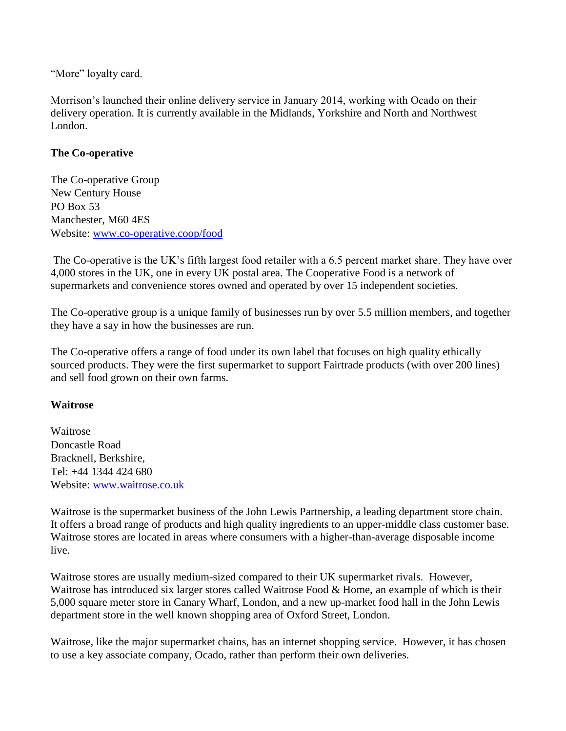"More" loyalty card.

Morrison's launched their online delivery service in January 2014, working with Ocado on their delivery operation. It is currently available in the Midlands, Yorkshire and North and Northwest London.

### **The Co-operative**

The Co-operative Group New Century House PO Box 53 Manchester, M60 4ES Website: [www.co-operative.coop/food](http://www.co-operative.coop/food)

The Co-operative is the UK's fifth largest food retailer with a 6.5 percent market share. They have over 4,000 stores in the UK, one in every UK postal area. The Cooperative Food is a network of supermarkets and convenience stores owned and operated by over 15 independent societies.

The Co-operative group is a unique family of businesses run by over 5.5 million members, and together they have a say in how the businesses are run.

The Co-operative offers a range of food under its own label that focuses on high quality ethically sourced products. They were the first supermarket to support Fairtrade products (with over 200 lines) and sell food grown on their own farms.

#### **Waitrose**

Waitrose Doncastle Road Bracknell, Berkshire, Tel: +44 1344 424 680 Website: [www.waitrose.co.uk](http://www.waitrose.co.uk/)

Waitrose is the supermarket business of the John Lewis Partnership, a leading department store chain. It offers a broad range of products and high quality ingredients to an upper-middle class customer base. Waitrose stores are located in areas where consumers with a higher-than-average disposable income live.

Waitrose stores are usually medium-sized compared to their UK supermarket rivals. However, Waitrose has introduced six larger stores called Waitrose Food & Home, an example of which is their 5,000 square meter store in Canary Wharf, London, and a new up-market food hall in the John Lewis department store in the well known shopping area of Oxford Street, London.

Waitrose, like the major supermarket chains, has an internet shopping service. However, it has chosen to use a key associate company, Ocado, rather than perform their own deliveries.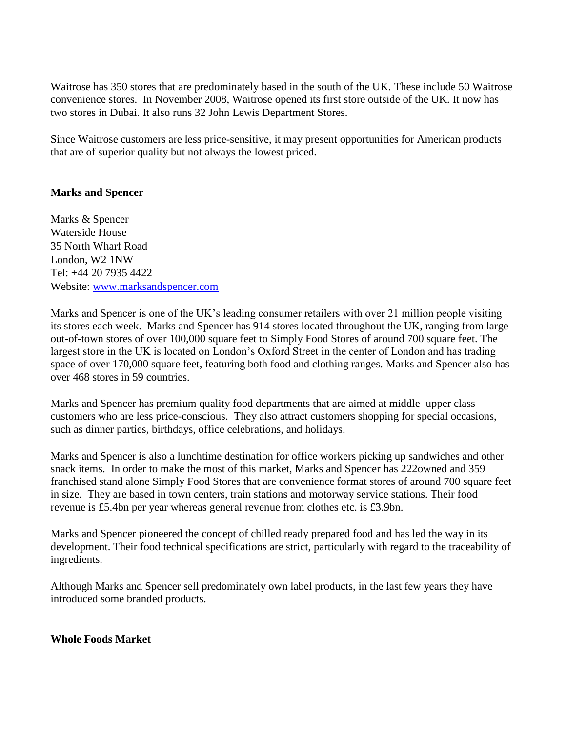Waitrose has 350 stores that are predominately based in the south of the UK. These include 50 Waitrose convenience stores. In November 2008, Waitrose opened its first store outside of the UK. It now has two stores in Dubai. It also runs 32 John Lewis Department Stores.

Since Waitrose customers are less price-sensitive, it may present opportunities for American products that are of superior quality but not always the lowest priced.

# **Marks and Spencer**

Marks & Spencer Waterside House 35 North Wharf Road London, W2 1NW Tel: +44 20 7935 4422 Website: [www.marksandspencer.com](http://www.marksandspencer.com/)

Marks and Spencer is one of the UK's leading consumer retailers with over 21 million people visiting its stores each week. Marks and Spencer has 914 stores located throughout the UK, ranging from large out-of-town stores of over 100,000 square feet to Simply Food Stores of around 700 square feet. The largest store in the UK is located on London's Oxford Street in the center of London and has trading space of over 170,000 square feet, featuring both food and clothing ranges. Marks and Spencer also has over 468 stores in 59 countries.

Marks and Spencer has premium quality food departments that are aimed at middle–upper class customers who are less price-conscious. They also attract customers shopping for special occasions, such as dinner parties, birthdays, office celebrations, and holidays.

Marks and Spencer is also a lunchtime destination for office workers picking up sandwiches and other snack items. In order to make the most of this market, Marks and Spencer has 222owned and 359 franchised stand alone Simply Food Stores that are convenience format stores of around 700 square feet in size. They are based in town centers, train stations and motorway service stations. Their food revenue is £5.4bn per year whereas general revenue from clothes etc. is £3.9bn.

Marks and Spencer pioneered the concept of chilled ready prepared food and has led the way in its development. Their food technical specifications are strict, particularly with regard to the traceability of ingredients.

Although Marks and Spencer sell predominately own label products, in the last few years they have introduced some branded products.

#### **Whole Foods Market**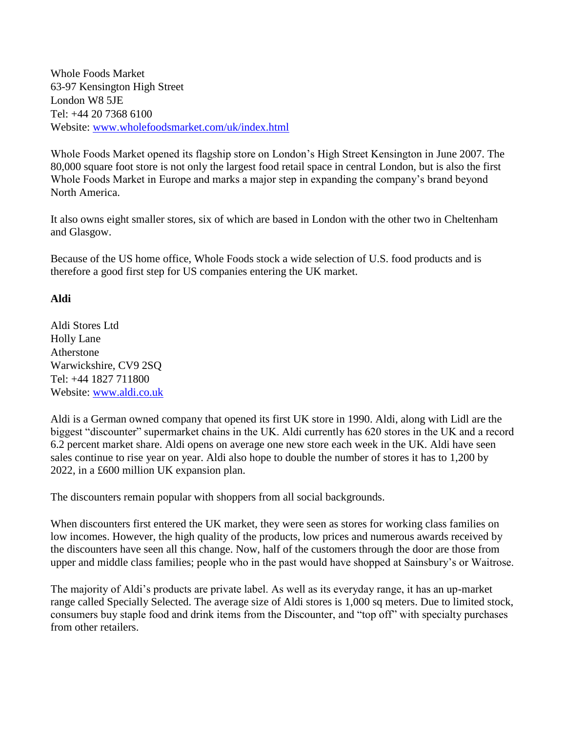Whole Foods Market 63-97 Kensington High Street London W8 5JE Tel: +44 20 7368 6100 Website: [www.wholefoodsmarket.com/uk/index.html](http://www.wholefoodsmarket.com/uk/index.html)

Whole Foods Market opened its flagship store on London's High Street Kensington in June 2007. The 80,000 square foot store is not only the largest food retail space in central London, but is also the first Whole Foods Market in Europe and marks a major step in expanding the company's brand beyond North America.

It also owns eight smaller stores, six of which are based in London with the other two in Cheltenham and Glasgow.

Because of the US home office, Whole Foods stock a wide selection of U.S. food products and is therefore a good first step for US companies entering the UK market.

# **Aldi**

Aldi Stores Ltd Holly Lane Atherstone Warwickshire, CV9 2SQ Tel: +44 1827 711800 Website: [www.aldi.co.uk](http://www.aldi.co.uk/)

Aldi is a German owned company that opened its first UK store in 1990. Aldi, along with Lidl are the biggest "discounter" supermarket chains in the UK. Aldi currently has 620 stores in the UK and a record 6.2 percent market share. Aldi opens on average one new store each week in the UK. Aldi have seen sales continue to rise year on year. Aldi also hope to double the number of stores it has to 1,200 by 2022, in a £600 million UK expansion plan.

The discounters remain popular with shoppers from all social backgrounds.

When discounters first entered the UK market, they were seen as stores for working class families on low incomes. However, the high quality of the products, low prices and numerous awards received by the discounters have seen all this change. Now, half of the customers through the door are those from upper and middle class families; people who in the past would have shopped at Sainsbury's or Waitrose.

The majority of Aldi's products are private label. As well as its everyday range, it has an up-market range called Specially Selected. The average size of Aldi stores is 1,000 sq meters. Due to limited stock, consumers buy staple food and drink items from the Discounter, and "top off" with specialty purchases from other retailers.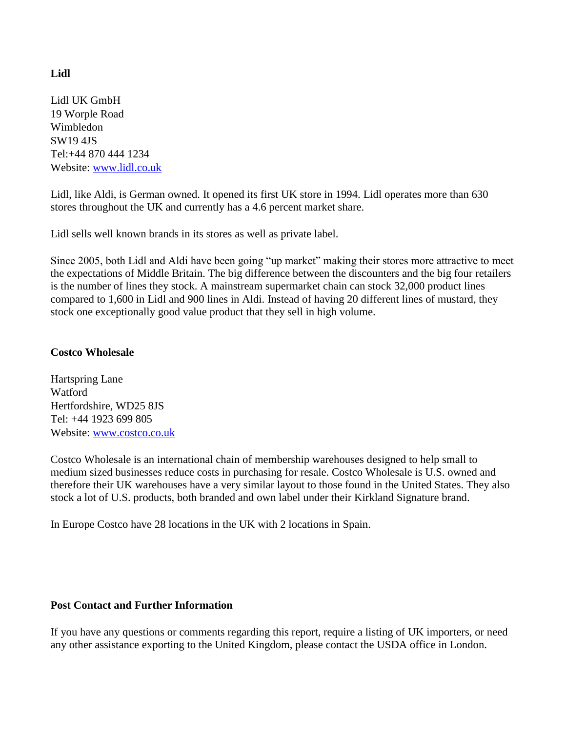# **Lidl**

Lidl UK GmbH 19 Worple Road Wimbledon SW19 4JS Tel:+44 870 444 1234 Website: [www.lidl.co.uk](http://www.lidl.co.uk/)

Lidl, like Aldi, is German owned. It opened its first UK store in 1994. Lidl operates more than 630 stores throughout the UK and currently has a 4.6 percent market share.

Lidl sells well known brands in its stores as well as private label.

Since 2005, both Lidl and Aldi have been going "up market" making their stores more attractive to meet the expectations of Middle Britain. The big difference between the discounters and the big four retailers is the number of lines they stock. A mainstream supermarket chain can stock 32,000 product lines compared to 1,600 in Lidl and 900 lines in Aldi. Instead of having 20 different lines of mustard, they stock one exceptionally good value product that they sell in high volume.

### **Costco Wholesale**

Hartspring Lane Watford Hertfordshire, WD25 8JS Tel: +44 1923 699 805 Website: [www.costco.co.uk](http://www.costco.co.uk/)

Costco Wholesale is an international chain of membership warehouses designed to help small to medium sized businesses reduce costs in purchasing for resale. Costco Wholesale is U.S. owned and therefore their UK warehouses have a very similar layout to those found in the United States. They also stock a lot of U.S. products, both branded and own label under their Kirkland Signature brand.

In Europe Costco have 28 locations in the UK with 2 locations in Spain.

#### **Post Contact and Further Information**

If you have any questions or comments regarding this report, require a listing of UK importers, or need any other assistance exporting to the United Kingdom, please contact the USDA office in London.